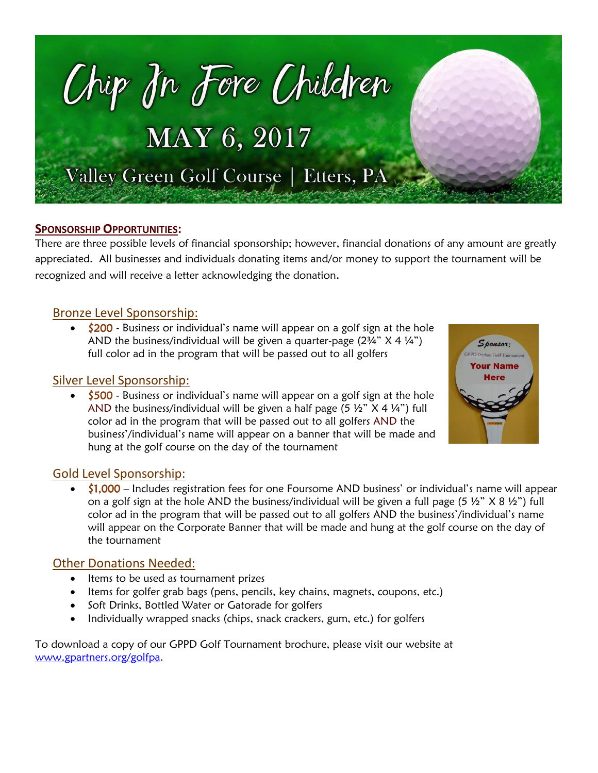

#### **SPONSORSHIP OPPORTUNITIES:**

There are three possible levels of financial sponsorship; however, financial donations of any amount are greatly appreciated. All businesses and individuals donating items and/or money to support the tournament will be recognized and will receive a letter acknowledging the donation.

## Bronze Level Sponsorship:

\$200 - Business or individual's name will appear on a golf sign at the hole AND the business/individual will be given a quarter-page  $(2\frac{3}{4}$ "  $\times$  4  $\frac{1}{4}$ ") full color ad in the program that will be passed out to all golfers

### Silver Level Sponsorship:

• \$500 - Business or individual's name will appear on a golf sign at the hole AND the business/individual will be given a half page (5  $\frac{1}{2}$   $\times$  4  $\frac{1}{4}$ ) full color ad in the program that will be passed out to all golfers AND the business'/individual's name will appear on a banner that will be made and hung at the golf course on the day of the tournament



# Gold Level Sponsorship:

 $\bullet$  \$1,000 – Includes registration fees for one Foursome AND business' or individual's name will appear on a golf sign at the hole AND the business/individual will be given a full page (5  $\frac{1}{2}$ " X 8  $\frac{1}{2}$ ") full color ad in the program that will be passed out to all golfers AND the business'/individual's name will appear on the Corporate Banner that will be made and hung at the golf course on the day of the tournament

#### Other Donations Needed:

- Items to be used as tournament prizes
- Items for golfer grab bags (pens, pencils, key chains, magnets, coupons, etc.)
- Soft Drinks, Bottled Water or Gatorade for golfers
- Individually wrapped snacks (chips, snack crackers, gum, etc.) for golfers

To download a copy of our GPPD Golf Tournament brochure, please visit our website at [www.gpartners.org/golfpa.](http://www.gpartners.org/golfpa)